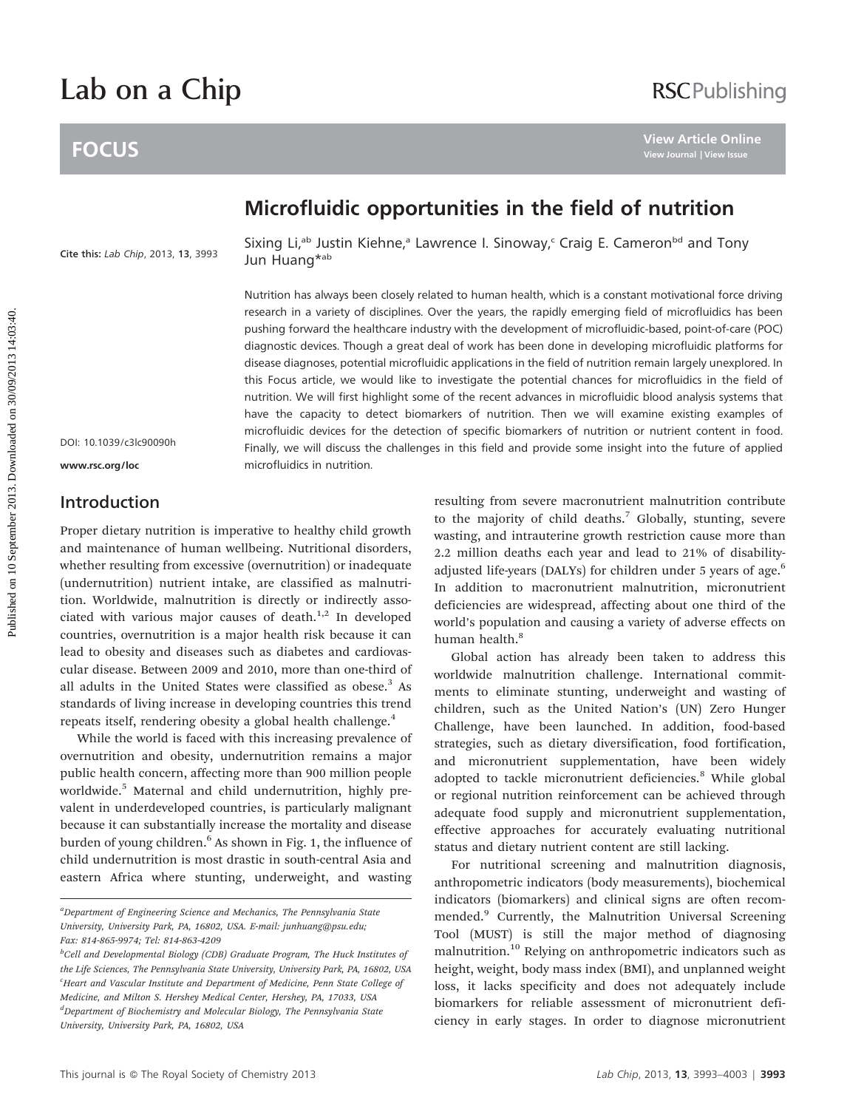# Lab on a Chip

# **FOCUS**

## Microfluidic opportunities in the field of nutrition

[Cite this:](http://dx.doi.org/10.1039/c3lc90090h) Lab Chip, 2013, 13, 3993

Sixing Li,<sup>ab</sup> Justin Kiehne,<sup>a</sup> Lawrence I. Sinoway,<sup>c</sup> Craig E. Cameron<sup>bd</sup> and Tony Jun Huang\*ab

Nutrition has always been closely related to human health, which is a constant motivational force driving research in a variety of disciplines. Over the years, the rapidly emerging field of microfluidics has been pushing forward the healthcare industry with the development of microfluidic-based, point-of-care (POC) diagnostic devices. Though a great deal of work has been done in developing microfluidic platforms for disease diagnoses, potential microfluidic applications in the field of nutrition remain largely unexplored. In this Focus article, we would like to investigate the potential chances for microfluidics in the field of nutrition. We will first highlight some of the recent advances in microfluidic blood analysis systems that have the capacity to detect biomarkers of nutrition. Then we will examine existing examples of microfluidic devices for the detection of specific biomarkers of nutrition or nutrient content in food. Finally, we will discuss the challenges in this field and provide some insight into the future of applied microfluidics in nutrition. **POCUS**<br> **Published on 10 Six and 10 September 2013.** The **Microfilluidic opportunities in the field of nutrition**<br>
Six and 1.3.3993 Jun Huang<sup>+a,b</sup><br>
Jun Huang<sup>+a,b</sup><br>
Jun Huang<sup>+a,b</sup><br>
Nutrition has always been closely rel

DOI: 10.1039/c3lc90090h

www.rsc.org/loc

### Introduction

Proper dietary nutrition is imperative to healthy child growth and maintenance of human wellbeing. Nutritional disorders, whether resulting from excessive (overnutrition) or inadequate (undernutrition) nutrient intake, are classified as malnutrition. Worldwide, malnutrition is directly or indirectly associated with various major causes of death. $1,2$  In developed countries, overnutrition is a major health risk because it can lead to obesity and diseases such as diabetes and cardiovascular disease. Between 2009 and 2010, more than one-third of all adults in the United States were classified as obese.<sup>3</sup> As standards of living increase in developing countries this trend repeats itself, rendering obesity a global health challenge.<sup>4</sup>

While the world is faced with this increasing prevalence of overnutrition and obesity, undernutrition remains a major public health concern, affecting more than 900 million people worldwide.<sup>5</sup> Maternal and child undernutrition, highly prevalent in underdeveloped countries, is particularly malignant because it can substantially increase the mortality and disease burden of young children.<sup>6</sup> As shown in Fig. 1, the influence of child undernutrition is most drastic in south-central Asia and eastern Africa where stunting, underweight, and wasting resulting from severe macronutrient malnutrition contribute to the majority of child deaths.<sup>7</sup> Globally, stunting, severe wasting, and intrauterine growth restriction cause more than 2.2 million deaths each year and lead to 21% of disabilityadjusted life-years (DALYs) for children under 5 years of age.<sup>6</sup> In addition to macronutrient malnutrition, micronutrient deficiencies are widespread, affecting about one third of the world's population and causing a variety of adverse effects on human health.<sup>8</sup>

Global action has already been taken to address this worldwide malnutrition challenge. International commitments to eliminate stunting, underweight and wasting of children, such as the United Nation's (UN) Zero Hunger Challenge, have been launched. In addition, food-based strategies, such as dietary diversification, food fortification, and micronutrient supplementation, have been widely adopted to tackle micronutrient deficiencies.<sup>8</sup> While global or regional nutrition reinforcement can be achieved through adequate food supply and micronutrient supplementation, effective approaches for accurately evaluating nutritional status and dietary nutrient content are still lacking.

For nutritional screening and malnutrition diagnosis, anthropometric indicators (body measurements), biochemical indicators (biomarkers) and clinical signs are often recommended.<sup>9</sup> Currently, the Malnutrition Universal Screening Tool (MUST) is still the major method of diagnosing malnutrition.<sup>10</sup> Relying on anthropometric indicators such as height, weight, body mass index (BMI), and unplanned weight loss, it lacks specificity and does not adequately include biomarkers for reliable assessment of micronutrient deficiency in early stages. In order to diagnose micronutrient

<sup>&</sup>lt;sup>a</sup>Department of Engineering Science and Mechanics, The Pennsylvania State University, University Park, PA, 16802, USA. E-mail: junhuang@psu.edu; Fax: 814-865-9974; Tel: 814-863-4209

 $^b$ Cell and Developmental Biology (CDB) Graduate Program, The Huck Institutes of the Life Sciences, The Pennsylvania State University, University Park, PA, 16802, USA <sup>c</sup>Heart and Vascular Institute and Department of Medicine, Penn State College of Medicine, and Milton S. Hershey Medical Center, Hershey, PA, 17033, USA <sup>d</sup>Department of Biochemistry and Molecular Biology, The Pennsylvania State University, University Park, PA, 16802, USA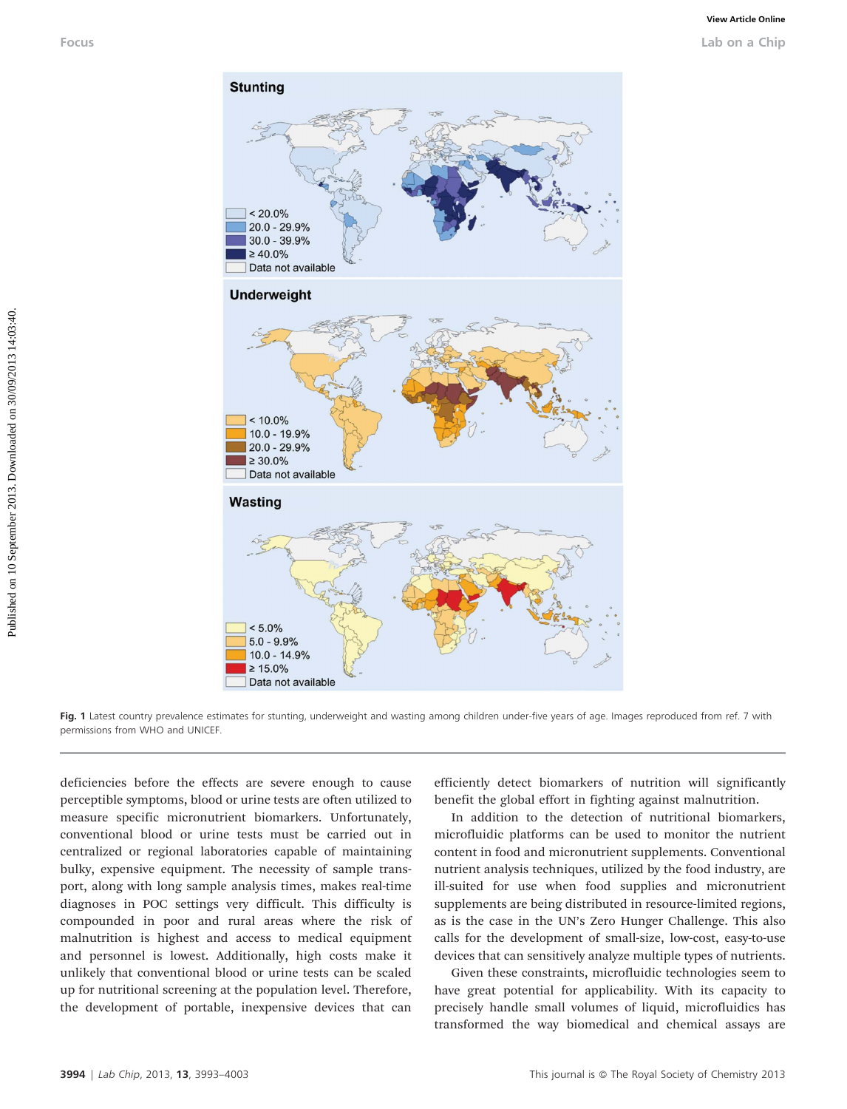

Fig. 1 Latest country prevalence estimates for stunting, underweight and wasting among children under-five years of age. Images reproduced from ref. 7 with permissions from WHO and UNICEF.

deficiencies before the effects are severe enough to cause perceptible symptoms, blood or urine tests are often utilized to measure specific micronutrient biomarkers. Unfortunately, conventional blood or urine tests must be carried out in centralized or regional laboratories capable of maintaining bulky, expensive equipment. The necessity of sample transport, along with long sample analysis times, makes real-time diagnoses in POC settings very difficult. This difficulty is compounded in poor and rural areas where the risk of malnutrition is highest and access to medical equipment and personnel is lowest. Additionally, high costs make it unlikely that conventional blood or urine tests can be scaled up for nutritional screening at the population level. Therefore, the development of portable, inexpensive devices that can efficiently detect biomarkers of nutrition will significantly benefit the global effort in fighting against malnutrition.

In addition to the detection of nutritional biomarkers, microfluidic platforms can be used to monitor the nutrient content in food and micronutrient supplements. Conventional nutrient analysis techniques, utilized by the food industry, are ill-suited for use when food supplies and micronutrient supplements are being distributed in resource-limited regions, as is the case in the UN's Zero Hunger Challenge. This also calls for the development of small-size, low-cost, easy-to-use devices that can sensitively analyze multiple types of nutrients.

Given these constraints, microfluidic technologies seem to have great potential for applicability. With its capacity to precisely handle small volumes of liquid, microfluidics has transformed the way biomedical and chemical assays are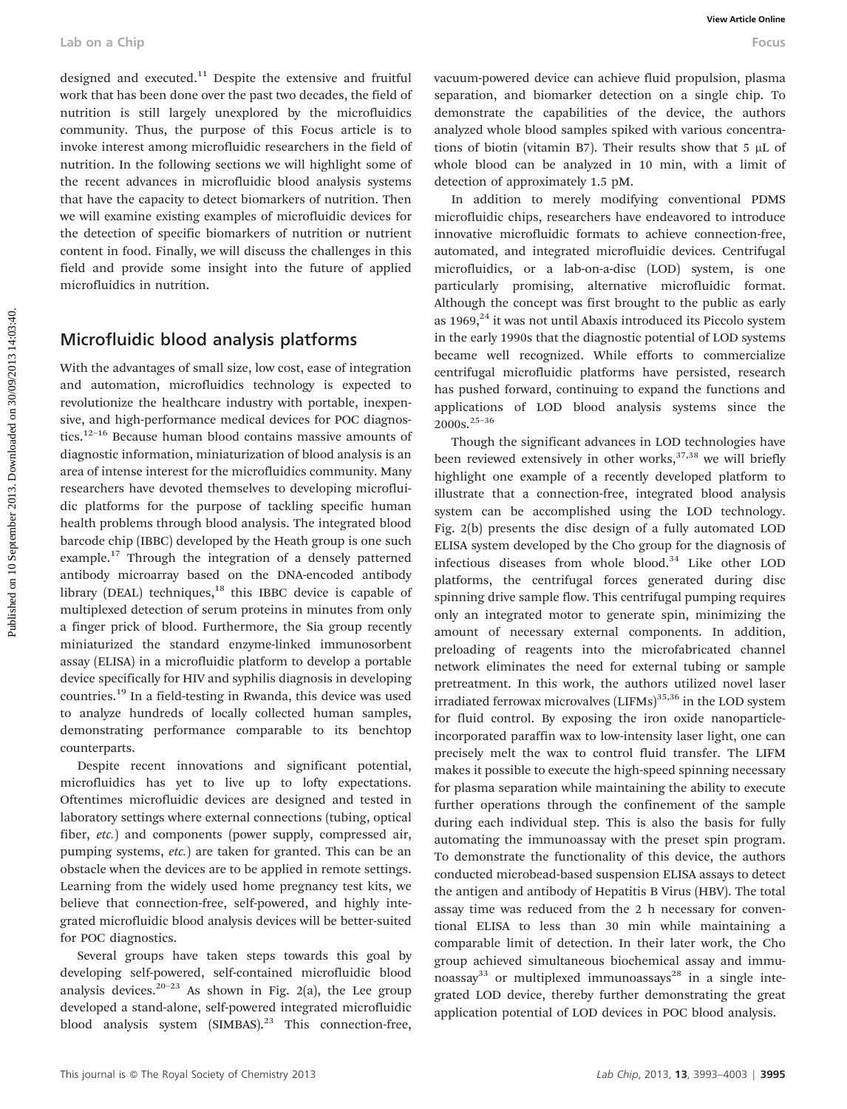designed and executed. $11$  Despite the extensive and fruitful work that has been done over the past two decades, the field of nutrition is still largely unexplored by the microfluidics community. Thus, the purpose of this Focus article is to invoke interest among microfluidic researchers in the field of nutrition. In the following sections we will highlight some of the recent advances in microfluidic blood analysis systems that have the capacity to detect biomarkers of nutrition. Then we will examine existing examples of microfluidic devices for the detection of specific biomarkers of nutrition or nutrient content in food. Finally, we will discuss the challenges in this field and provide some insight into the future of applied microfluidics in nutrition.

### Microfluidic blood analysis platforms

With the advantages of small size, low cost, ease of integration and automation, microfluidics technology is expected to revolutionize the healthcare industry with portable, inexpensive, and high-performance medical devices for POC diagnostics.12–16 Because human blood contains massive amounts of diagnostic information, miniaturization of blood analysis is an area of intense interest for the microfluidics community. Many researchers have devoted themselves to developing microfluidic platforms for the purpose of tackling specific human health problems through blood analysis. The integrated blood barcode chip (IBBC) developed by the Heath group is one such example.<sup>17</sup> Through the integration of a densely patterned antibody microarray based on the DNA-encoded antibody library (DEAL) techniques,<sup>18</sup> this IBBC device is capable of multiplexed detection of serum proteins in minutes from only a finger prick of blood. Furthermore, the Sia group recently miniaturized the standard enzyme-linked immunosorbent assay (ELISA) in a microfluidic platform to develop a portable device specifically for HIV and syphilis diagnosis in developing countries.<sup>19</sup> In a field-testing in Rwanda, this device was used to analyze hundreds of locally collected human samples, demonstrating performance comparable to its benchtop counterparts. Lab on a Chip<br>
designed and executed," Despite the extensive and fruitful<br>
sevent but a focus were the particle and intervalses of the moreover the particle and intervalse the set of the order of the distance of the set of

Despite recent innovations and significant potential, microfluidics has yet to live up to lofty expectations. Oftentimes microfluidic devices are designed and tested in laboratory settings where external connections (tubing, optical fiber, etc.) and components (power supply, compressed air, pumping systems, etc.) are taken for granted. This can be an obstacle when the devices are to be applied in remote settings. Learning from the widely used home pregnancy test kits, we believe that connection-free, self-powered, and highly integrated microfluidic blood analysis devices will be better-suited for POC diagnostics.

Several groups have taken steps towards this goal by developing self-powered, self-contained microfluidic blood analysis devices.<sup>20-23</sup> As shown in Fig. 2(a), the Lee group developed a stand-alone, self-powered integrated microfluidic blood analysis system  $(SIMBAS).^{23}$  This connection-free, vacuum-powered device can achieve fluid propulsion, plasma separation, and biomarker detection on a single chip. To demonstrate the capabilities of the device, the authors analyzed whole blood samples spiked with various concentrations of biotin (vitamin B7). Their results show that  $5 \mu L$  of whole blood can be analyzed in 10 min, with a limit of detection of approximately 1.5 pM.

In addition to merely modifying conventional PDMS microfluidic chips, researchers have endeavored to introduce innovative microfluidic formats to achieve connection-free, automated, and integrated microfluidic devices. Centrifugal microfluidics, or a lab-on-a-disc (LOD) system, is one particularly promising, alternative microfluidic format. Although the concept was first brought to the public as early as  $1969$ , $^{24}$  it was not until Abaxis introduced its Piccolo system in the early 1990s that the diagnostic potential of LOD systems became well recognized. While efforts to commercialize centrifugal microfluidic platforms have persisted, research has pushed forward, continuing to expand the functions and applications of LOD blood analysis systems since the 2000s.25–36

Though the significant advances in LOD technologies have been reviewed extensively in other works, $37,38$  we will briefly highlight one example of a recently developed platform to illustrate that a connection-free, integrated blood analysis system can be accomplished using the LOD technology. Fig. 2(b) presents the disc design of a fully automated LOD ELISA system developed by the Cho group for the diagnosis of infectious diseases from whole blood.<sup>34</sup> Like other LOD platforms, the centrifugal forces generated during disc spinning drive sample flow. This centrifugal pumping requires only an integrated motor to generate spin, minimizing the amount of necessary external components. In addition, preloading of reagents into the microfabricated channel network eliminates the need for external tubing or sample pretreatment. In this work, the authors utilized novel laser irradiated ferrowax microvalves  $(LIFMs)^{35,36}$  in the LOD system for fluid control. By exposing the iron oxide nanoparticleincorporated paraffin wax to low-intensity laser light, one can precisely melt the wax to control fluid transfer. The LIFM makes it possible to execute the high-speed spinning necessary for plasma separation while maintaining the ability to execute further operations through the confinement of the sample during each individual step. This is also the basis for fully automating the immunoassay with the preset spin program. To demonstrate the functionality of this device, the authors conducted microbead-based suspension ELISA assays to detect the antigen and antibody of Hepatitis B Virus (HBV). The total assay time was reduced from the 2 h necessary for conventional ELISA to less than 30 min while maintaining a comparable limit of detection. In their later work, the Cho group achieved simultaneous biochemical assay and immunoassay<sup>33</sup> or multiplexed immunoassays<sup>28</sup> in a single integrated LOD device, thereby further demonstrating the great application potential of LOD devices in POC blood analysis.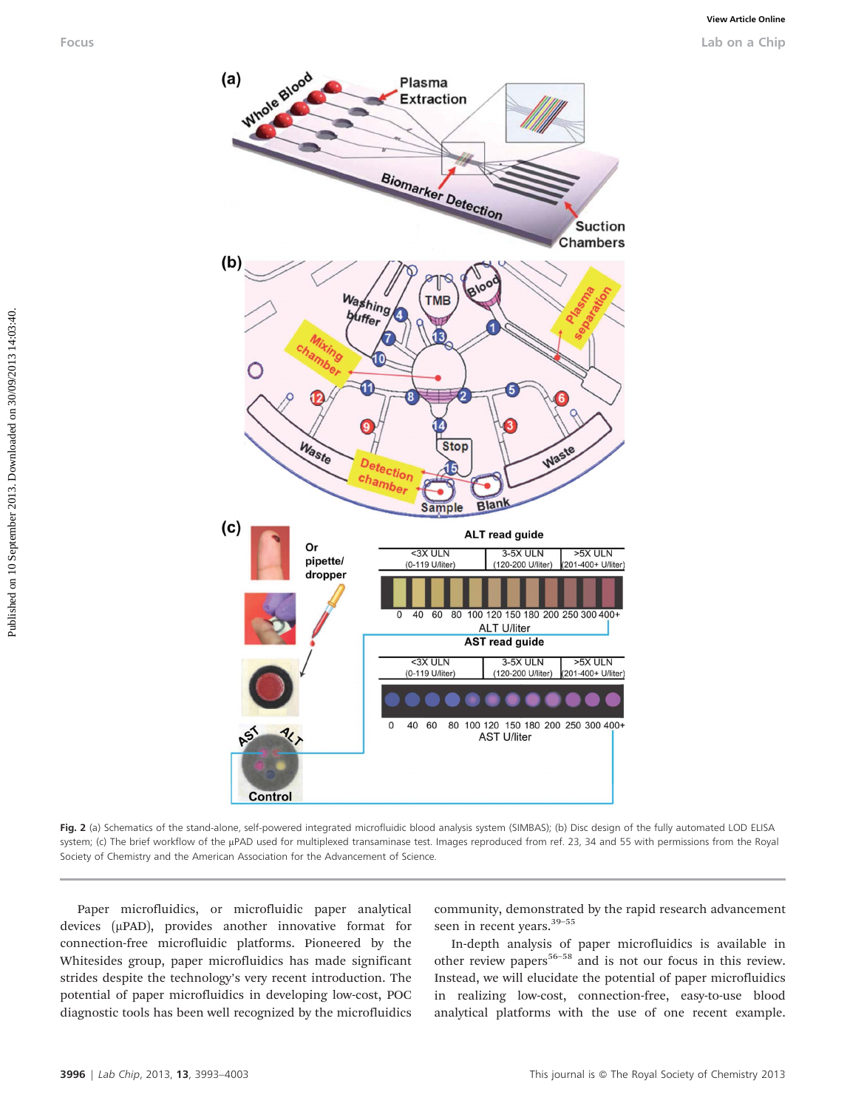

Fig. 2 (a) Schematics of the stand-alone, self-powered integrated microfluidic blood analysis system (SIMBAS); (b) Disc design of the fully automated LOD ELISA system; (c) The brief workflow of the µPAD used for multiplexed transaminase test. Images reproduced from ref. 23, 34 and 55 with permissions from the Royal Society of Chemistry and the American Association for the Advancement of Science.

Paper microfluidics, or microfluidic paper analytical devices (mPAD), provides another innovative format for connection-free microfluidic platforms. Pioneered by the Whitesides group, paper microfluidics has made significant strides despite the technology's very recent introduction. The potential of paper microfluidics in developing low-cost, POC diagnostic tools has been well recognized by the microfluidics community, demonstrated by the rapid research advancement seen in recent years.<sup>39-55</sup>

In-depth analysis of paper microfluidics is available in other review papers<sup>56–58</sup> and is not our focus in this review. Instead, we will elucidate the potential of paper microfluidics in realizing low-cost, connection-free, easy-to-use blood analytical platforms with the use of one recent example.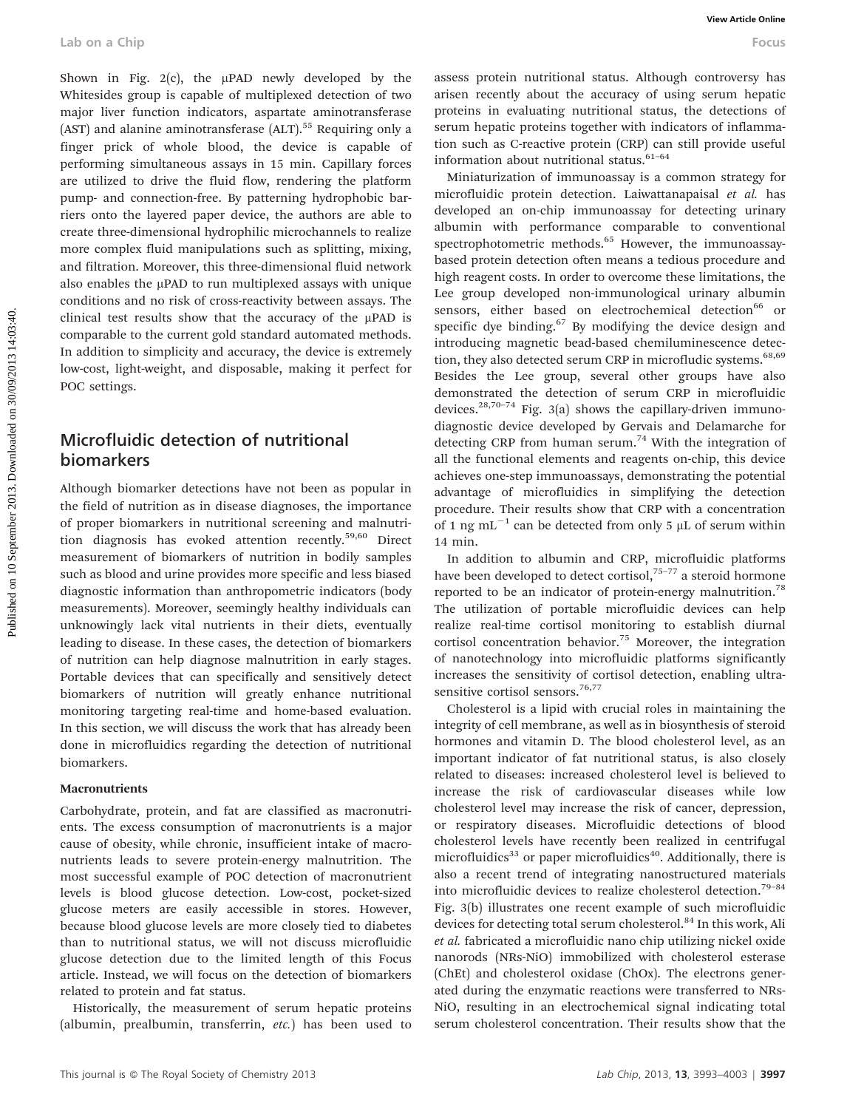Shown in Fig.  $2(c)$ , the  $\mu$ PAD newly developed by the Whitesides group is capable of multiplexed detection of two major liver function indicators, aspartate aminotransferase (AST) and alanine aminotransferase  $(ALT)$ .<sup>55</sup> Requiring only a finger prick of whole blood, the device is capable of performing simultaneous assays in 15 min. Capillary forces are utilized to drive the fluid flow, rendering the platform pump- and connection-free. By patterning hydrophobic barriers onto the layered paper device, the authors are able to create three-dimensional hydrophilic microchannels to realize more complex fluid manipulations such as splitting, mixing, and filtration. Moreover, this three-dimensional fluid network also enables the  $\mu$ PAD to run multiplexed assays with unique conditions and no risk of cross-reactivity between assays. The clinical test results show that the accuracy of the µPAD is comparable to the current gold standard automated methods. In addition to simplicity and accuracy, the device is extremely low-cost, light-weight, and disposable, making it perfect for POC settings.

### Microfluidic detection of nutritional biomarkers

Although biomarker detections have not been as popular in the field of nutrition as in disease diagnoses, the importance of proper biomarkers in nutritional screening and malnutrition diagnosis has evoked attention recently.59,60 Direct measurement of biomarkers of nutrition in bodily samples such as blood and urine provides more specific and less biased diagnostic information than anthropometric indicators (body measurements). Moreover, seemingly healthy individuals can unknowingly lack vital nutrients in their diets, eventually leading to disease. In these cases, the detection of biomarkers of nutrition can help diagnose malnutrition in early stages. Portable devices that can specifically and sensitively detect biomarkers of nutrition will greatly enhance nutritional monitoring targeting real-time and home-based evaluation. In this section, we will discuss the work that has already been done in microfluidics regarding the detection of nutritional biomarkers.

#### Macronutrients

Carbohydrate, protein, and fat are classified as macronutrients. The excess consumption of macronutrients is a major cause of obesity, while chronic, insufficient intake of macronutrients leads to severe protein-energy malnutrition. The most successful example of POC detection of macronutrient levels is blood glucose detection. Low-cost, pocket-sized glucose meters are easily accessible in stores. However, because blood glucose levels are more closely tied to diabetes than to nutritional status, we will not discuss microfluidic glucose detection due to the limited length of this Focus article. Instead, we will focus on the detection of biomarkers related to protein and fat status.

Historically, the measurement of serum hepatic proteins (albumin, prealbumin, transferrin, etc.) has been used to assess protein nutritional status. Although controversy has arisen recently about the accuracy of using serum hepatic proteins in evaluating nutritional status, the detections of serum hepatic proteins together with indicators of inflammation such as C-reactive protein (CRP) can still provide useful information about nutritional status.<sup>61-64</sup>

Miniaturization of immunoassay is a common strategy for microfluidic protein detection. Laiwattanapaisal et al. has developed an on-chip immunoassay for detecting urinary albumin with performance comparable to conventional spectrophotometric methods.<sup>65</sup> However, the immunoassaybased protein detection often means a tedious procedure and high reagent costs. In order to overcome these limitations, the Lee group developed non-immunological urinary albumin sensors, either based on electrochemical detection<sup>66</sup> or specific dye binding. $67$  By modifying the device design and introducing magnetic bead-based chemiluminescence detection, they also detected serum CRP in microfludic systems.<sup>68,69</sup> Besides the Lee group, several other groups have also demonstrated the detection of serum CRP in microfluidic devices.<sup>28,70-74</sup> Fig. 3(a) shows the capillary-driven immunodiagnostic device developed by Gervais and Delamarche for detecting CRP from human serum.<sup>74</sup> With the integration of all the functional elements and reagents on-chip, this device achieves one-step immunoassays, demonstrating the potential advantage of microfluidics in simplifying the detection procedure. Their results show that CRP with a concentration of 1 ng  $mL^{-1}$  can be detected from only 5  $\mu$ L of serum within 14 min. Eab on a Chip<br>
Shown in Fig. 2(c), the µPAD newly developed by the sasess protein nutritional status. Although controvery has<br>
Whiteslow errors counter of the presentation of the method of multipline the method of the meth

In addition to albumin and CRP, microfluidic platforms have been developed to detect cortisol,<sup>75-77</sup> a steroid hormone reported to be an indicator of protein-energy malnutrition.<sup>78</sup> The utilization of portable microfluidic devices can help realize real-time cortisol monitoring to establish diurnal cortisol concentration behavior.<sup>75</sup> Moreover, the integration of nanotechnology into microfluidic platforms significantly increases the sensitivity of cortisol detection, enabling ultrasensitive cortisol sensors.<sup>76,77</sup>

Cholesterol is a lipid with crucial roles in maintaining the integrity of cell membrane, as well as in biosynthesis of steroid hormones and vitamin D. The blood cholesterol level, as an important indicator of fat nutritional status, is also closely related to diseases: increased cholesterol level is believed to increase the risk of cardiovascular diseases while low cholesterol level may increase the risk of cancer, depression, or respiratory diseases. Microfluidic detections of blood cholesterol levels have recently been realized in centrifugal microfluidics<sup>33</sup> or paper microfluidics<sup>40</sup>. Additionally, there is also a recent trend of integrating nanostructured materials into microfluidic devices to realize cholesterol detection.79–84 Fig. 3(b) illustrates one recent example of such microfluidic devices for detecting total serum cholesterol.<sup>84</sup> In this work, Ali et al. fabricated a microfluidic nano chip utilizing nickel oxide nanorods (NRs-NiO) immobilized with cholesterol esterase (ChEt) and cholesterol oxidase (ChOx). The electrons generated during the enzymatic reactions were transferred to NRs-NiO, resulting in an electrochemical signal indicating total serum cholesterol concentration. Their results show that the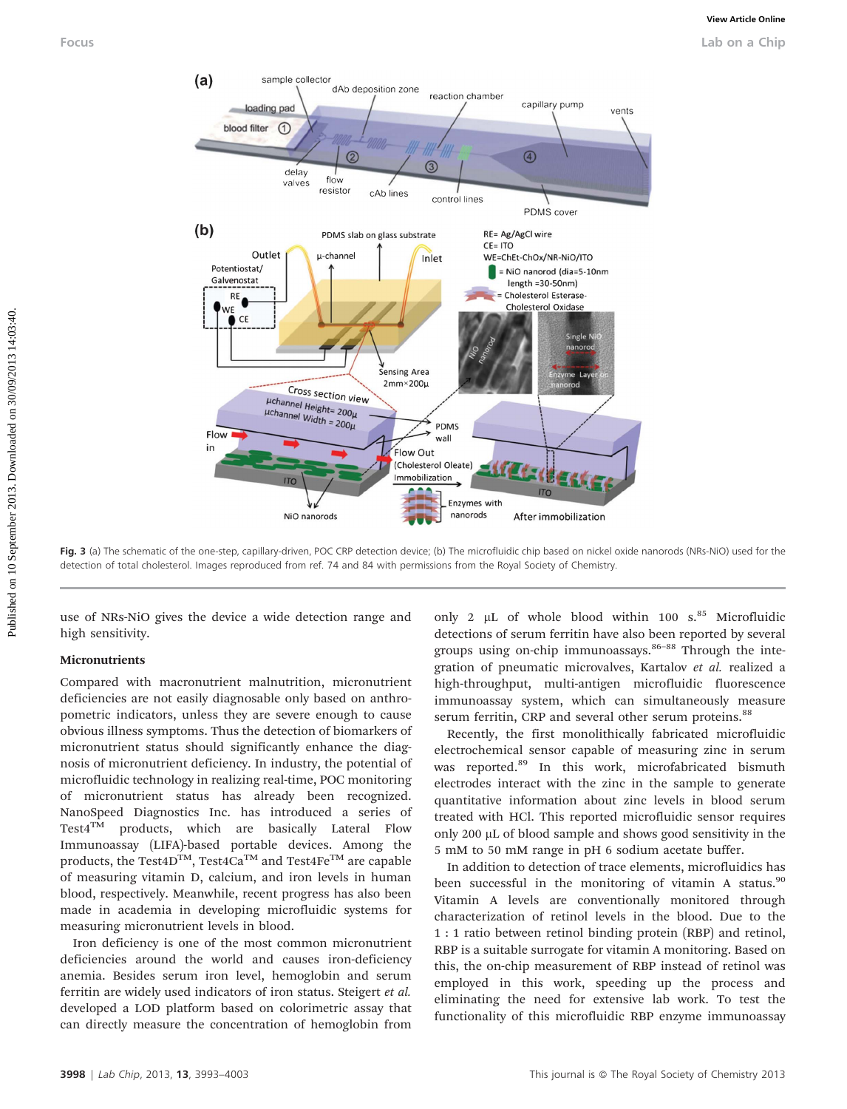

Fig. 3 (a) The schematic of the one-step, capillary-driven, POC CRP detection device; (b) The microfluidic chip based on nickel oxide nanorods (NRs-NiO) used for the detection of total cholesterol. Images reproduced from ref. 74 and 84 with permissions from the Royal Society of Chemistry.

use of NRs-NiO gives the device a wide detection range and high sensitivity.

#### Micronutrients

Compared with macronutrient malnutrition, micronutrient deficiencies are not easily diagnosable only based on anthropometric indicators, unless they are severe enough to cause obvious illness symptoms. Thus the detection of biomarkers of micronutrient status should significantly enhance the diagnosis of micronutrient deficiency. In industry, the potential of microfluidic technology in realizing real-time, POC monitoring of micronutrient status has already been recognized. NanoSpeed Diagnostics Inc. has introduced a series of Test4TM products, which are basically Lateral Flow Immunoassay (LIFA)-based portable devices. Among the products, the Test4D<sup>TM</sup>, Test4Ca<sup>TM</sup> and Test4Fe<sup>TM</sup> are capable of measuring vitamin D, calcium, and iron levels in human blood, respectively. Meanwhile, recent progress has also been made in academia in developing microfluidic systems for measuring micronutrient levels in blood.

Iron deficiency is one of the most common micronutrient deficiencies around the world and causes iron-deficiency anemia. Besides serum iron level, hemoglobin and serum ferritin are widely used indicators of iron status. Steigert et al. developed a LOD platform based on colorimetric assay that can directly measure the concentration of hemoglobin from

only 2  $\mu$ L of whole blood within 100 s.<sup>85</sup> Microfluidic detections of serum ferritin have also been reported by several groups using on-chip immunoassays.<sup>86-88</sup> Through the integration of pneumatic microvalves, Kartalov et al. realized a high-throughput, multi-antigen microfluidic fluorescence immunoassay system, which can simultaneously measure serum ferritin, CRP and several other serum proteins.<sup>88</sup>

Recently, the first monolithically fabricated microfluidic electrochemical sensor capable of measuring zinc in serum was reported.<sup>89</sup> In this work, microfabricated bismuth electrodes interact with the zinc in the sample to generate quantitative information about zinc levels in blood serum treated with HCl. This reported microfluidic sensor requires only 200 µL of blood sample and shows good sensitivity in the 5 mM to 50 mM range in pH 6 sodium acetate buffer.

In addition to detection of trace elements, microfluidics has been successful in the monitoring of vitamin A status. $90$ Vitamin A levels are conventionally monitored through characterization of retinol levels in the blood. Due to the 1 : 1 ratio between retinol binding protein (RBP) and retinol, RBP is a suitable surrogate for vitamin A monitoring. Based on this, the on-chip measurement of RBP instead of retinol was employed in this work, speeding up the process and eliminating the need for extensive lab work. To test the functionality of this microfluidic RBP enzyme immunoassay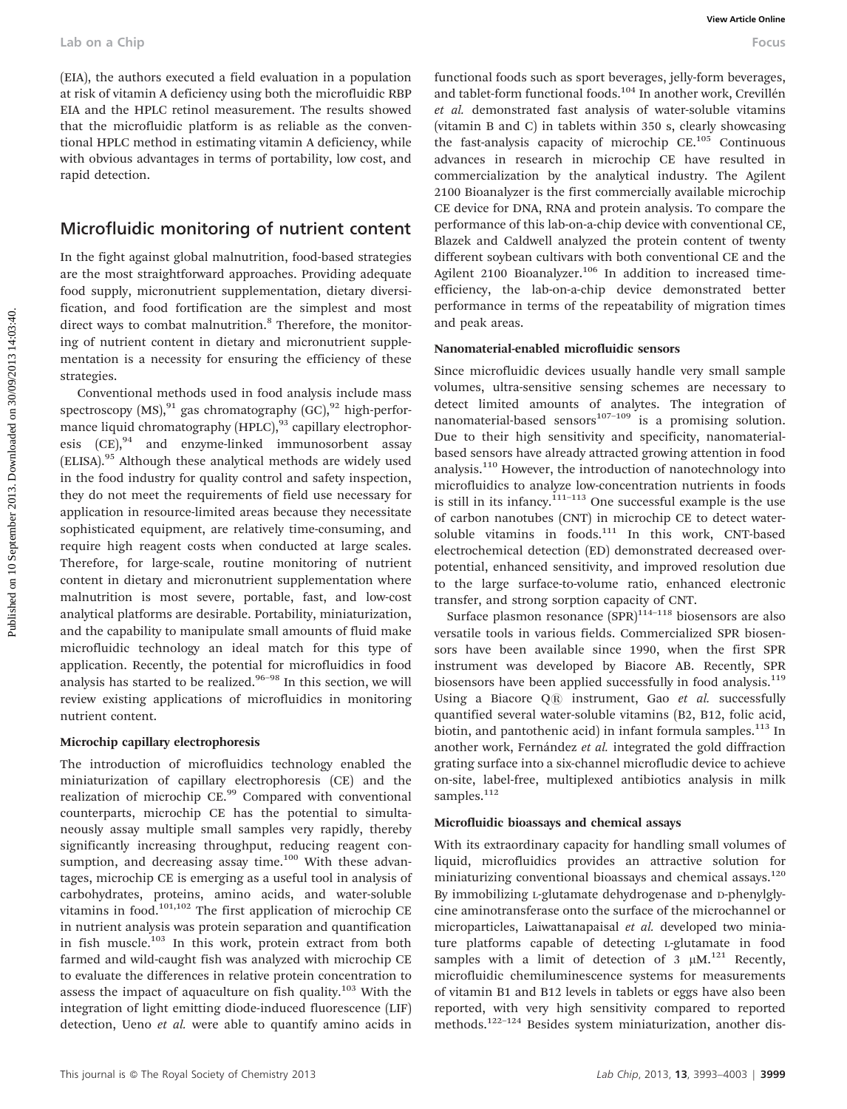(EIA), the authors executed a field evaluation in a population at risk of vitamin A deficiency using both the microfluidic RBP EIA and the HPLC retinol measurement. The results showed that the microfluidic platform is as reliable as the conventional HPLC method in estimating vitamin A deficiency, while with obvious advantages in terms of portability, low cost, and rapid detection.

### Microfluidic monitoring of nutrient content

In the fight against global malnutrition, food-based strategies are the most straightforward approaches. Providing adequate food supply, micronutrient supplementation, dietary diversification, and food fortification are the simplest and most direct ways to combat malnutrition.<sup>8</sup> Therefore, the monitoring of nutrient content in dietary and micronutrient supplementation is a necessity for ensuring the efficiency of these strategies.

Conventional methods used in food analysis include mass spectroscopy  $(MS)$ ,<sup>91</sup> gas chromatography  $(GC)$ ,<sup>92</sup> high-performance liquid chromatography (HPLC),<sup>93</sup> capillary electrophoresis  $(CE)$ , and enzyme-linked immunosorbent assay (ELISA).<sup>95</sup> Although these analytical methods are widely used in the food industry for quality control and safety inspection, they do not meet the requirements of field use necessary for application in resource-limited areas because they necessitate sophisticated equipment, are relatively time-consuming, and require high reagent costs when conducted at large scales. Therefore, for large-scale, routine monitoring of nutrient content in dietary and micronutrient supplementation where malnutrition is most severe, portable, fast, and low-cost analytical platforms are desirable. Portability, miniaturization, and the capability to manipulate small amounts of fluid make microfluidic technology an ideal match for this type of application. Recently, the potential for microfluidics in food analysis has started to be realized. $96-98$  In this section, we will review existing applications of microfluidics in monitoring nutrient content.

### Microchip capillary electrophoresis

The introduction of microfluidics technology enabled the miniaturization of capillary electrophoresis (CE) and the realization of microchip CE.<sup>99</sup> Compared with conventional counterparts, microchip CE has the potential to simultaneously assay multiple small samples very rapidly, thereby significantly increasing throughput, reducing reagent consumption, and decreasing assay time.<sup>100</sup> With these advantages, microchip CE is emerging as a useful tool in analysis of carbohydrates, proteins, amino acids, and water-soluble vitamins in food. $101,102$  The first application of microchip CE in nutrient analysis was protein separation and quantification in fish muscle.<sup>103</sup> In this work, protein extract from both farmed and wild-caught fish was analyzed with microchip CE to evaluate the differences in relative protein concentration to assess the impact of aquaculture on fish quality. $103$  With the integration of light emitting diode-induced fluorescence (LIF) detection, Ueno et al. were able to quantify amino acids in

functional foods such as sport beverages, jelly-form beverages, and tablet-form functional foods.<sup>104</sup> In another work, Crevillén et al. demonstrated fast analysis of water-soluble vitamins (vitamin B and C) in tablets within 350 s, clearly showcasing the fast-analysis capacity of microchip  $CE^{105}$  Continuous advances in research in microchip CE have resulted in commercialization by the analytical industry. The Agilent 2100 Bioanalyzer is the first commercially available microchip CE device for DNA, RNA and protein analysis. To compare the performance of this lab-on-a-chip device with conventional CE, Blazek and Caldwell analyzed the protein content of twenty different soybean cultivars with both conventional CE and the Agilent 2100 Bioanalyzer.<sup>106</sup> In addition to increased timeefficiency, the lab-on-a-chip device demonstrated better performance in terms of the repeatability of migration times and peak areas. Lab on a Chip<br>
(EIA), the authors occured a field evaluation in a population functional foods such as sport beerages, jelly-form beerages, are as the of the<br>
Einstein Motelling plot the microdiule platern is as redisting

### Nanomaterial-enabled microfluidic sensors

Since microfluidic devices usually handle very small sample volumes, ultra-sensitive sensing schemes are necessary to detect limited amounts of analytes. The integration of nanomaterial-based sensors<sup>107–109</sup> is a promising solution. Due to their high sensitivity and specificity, nanomaterialbased sensors have already attracted growing attention in food analysis.<sup>110</sup> However, the introduction of nanotechnology into microfluidics to analyze low-concentration nutrients in foods is still in its infancy.<sup>111-113</sup> One successful example is the use of carbon nanotubes (CNT) in microchip CE to detect watersoluble vitamins in foods.<sup>111</sup> In this work, CNT-based electrochemical detection (ED) demonstrated decreased overpotential, enhanced sensitivity, and improved resolution due to the large surface-to-volume ratio, enhanced electronic transfer, and strong sorption capacity of CNT.

Surface plasmon resonance (SPR)<sup>114-118</sup> biosensors are also versatile tools in various fields. Commercialized SPR biosensors have been available since 1990, when the first SPR instrument was developed by Biacore AB. Recently, SPR biosensors have been applied successfully in food analysis.<sup>119</sup> Using a Biacore  $Q(\widehat{R})$  instrument, Gao et al. successfully quantified several water-soluble vitamins (B2, B12, folic acid, biotin, and pantothenic acid) in infant formula samples. $113$  In another work, Fernández et al. integrated the gold diffraction grating surface into a six-channel microfludic device to achieve on-site, label-free, multiplexed antibiotics analysis in milk samples.<sup>112</sup>

#### Microfluidic bioassays and chemical assays

With its extraordinary capacity for handling small volumes of liquid, microfluidics provides an attractive solution for miniaturizing conventional bioassays and chemical assays.<sup>120</sup> By immobilizing L-glutamate dehydrogenase and D-phenylglycine aminotransferase onto the surface of the microchannel or microparticles, Laiwattanapaisal et al. developed two miniature platforms capable of detecting L-glutamate in food samples with a limit of detection of  $3 \mu M$ .<sup>121</sup> Recently, microfluidic chemiluminescence systems for measurements of vitamin B1 and B12 levels in tablets or eggs have also been reported, with very high sensitivity compared to reported methods.<sup>122-124</sup> Besides system miniaturization, another dis-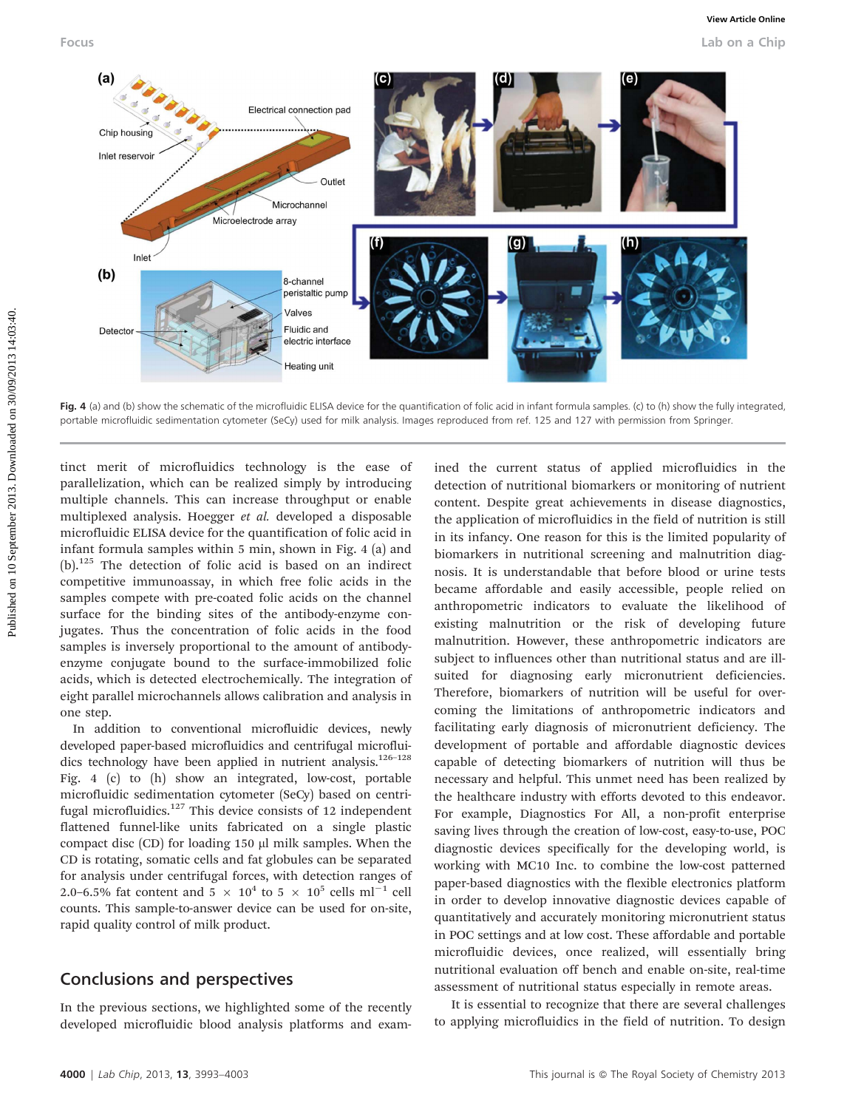

Fig. 4 (a) and (b) show the schematic of the microfluidic ELISA device for the quantification of folic acid in infant formula samples. (c) to (h) show the fully integrated, portable microfluidic sedimentation cytometer (SeCy) used for milk analysis. Images reproduced from ref. 125 and 127 with permission from Springer.

tinct merit of microfluidics technology is the ease of parallelization, which can be realized simply by introducing multiple channels. This can increase throughput or enable multiplexed analysis. Hoegger et al. developed a disposable microfluidic ELISA device for the quantification of folic acid in infant formula samples within 5 min, shown in Fig. 4 (a) and  $(b)$ .<sup>125</sup> The detection of folic acid is based on an indirect competitive immunoassay, in which free folic acids in the samples compete with pre-coated folic acids on the channel surface for the binding sites of the antibody-enzyme conjugates. Thus the concentration of folic acids in the food samples is inversely proportional to the amount of antibodyenzyme conjugate bound to the surface-immobilized folic acids, which is detected electrochemically. The integration of eight parallel microchannels allows calibration and analysis in one step.

In addition to conventional microfluidic devices, newly developed paper-based microfluidics and centrifugal microfluidics technology have been applied in nutrient analysis.<sup>126-128</sup> Fig. 4 (c) to (h) show an integrated, low-cost, portable microfluidic sedimentation cytometer (SeCy) based on centrifugal microfluidics.<sup>127</sup> This device consists of 12 independent flattened funnel-like units fabricated on a single plastic compact disc (CD) for loading 150 µl milk samples. When the CD is rotating, somatic cells and fat globules can be separated for analysis under centrifugal forces, with detection ranges of 2.0–6.5% fat content and 5  $\times$  10<sup>4</sup> to 5  $\times$  10<sup>5</sup> cells ml<sup>-1</sup> cell counts. This sample-to-answer device can be used for on-site, rapid quality control of milk product.

### Conclusions and perspectives

In the previous sections, we highlighted some of the recently developed microfluidic blood analysis platforms and examined the current status of applied microfluidics in the detection of nutritional biomarkers or monitoring of nutrient content. Despite great achievements in disease diagnostics, the application of microfluidics in the field of nutrition is still in its infancy. One reason for this is the limited popularity of biomarkers in nutritional screening and malnutrition diagnosis. It is understandable that before blood or urine tests became affordable and easily accessible, people relied on anthropometric indicators to evaluate the likelihood of existing malnutrition or the risk of developing future malnutrition. However, these anthropometric indicators are subject to influences other than nutritional status and are illsuited for diagnosing early micronutrient deficiencies. Therefore, biomarkers of nutrition will be useful for overcoming the limitations of anthropometric indicators and facilitating early diagnosis of micronutrient deficiency. The development of portable and affordable diagnostic devices capable of detecting biomarkers of nutrition will thus be necessary and helpful. This unmet need has been realized by the healthcare industry with efforts devoted to this endeavor. For example, Diagnostics For All, a non-profit enterprise saving lives through the creation of low-cost, easy-to-use, POC diagnostic devices specifically for the developing world, is working with MC10 Inc. to combine the low-cost patterned paper-based diagnostics with the flexible electronics platform in order to develop innovative diagnostic devices capable of quantitatively and accurately monitoring micronutrient status in POC settings and at low cost. These affordable and portable microfluidic devices, once realized, will essentially bring nutritional evaluation off bench and enable on-site, real-time assessment of nutritional status especially in remote areas.

It is essential to recognize that there are several challenges to applying microfluidics in the field of nutrition. To design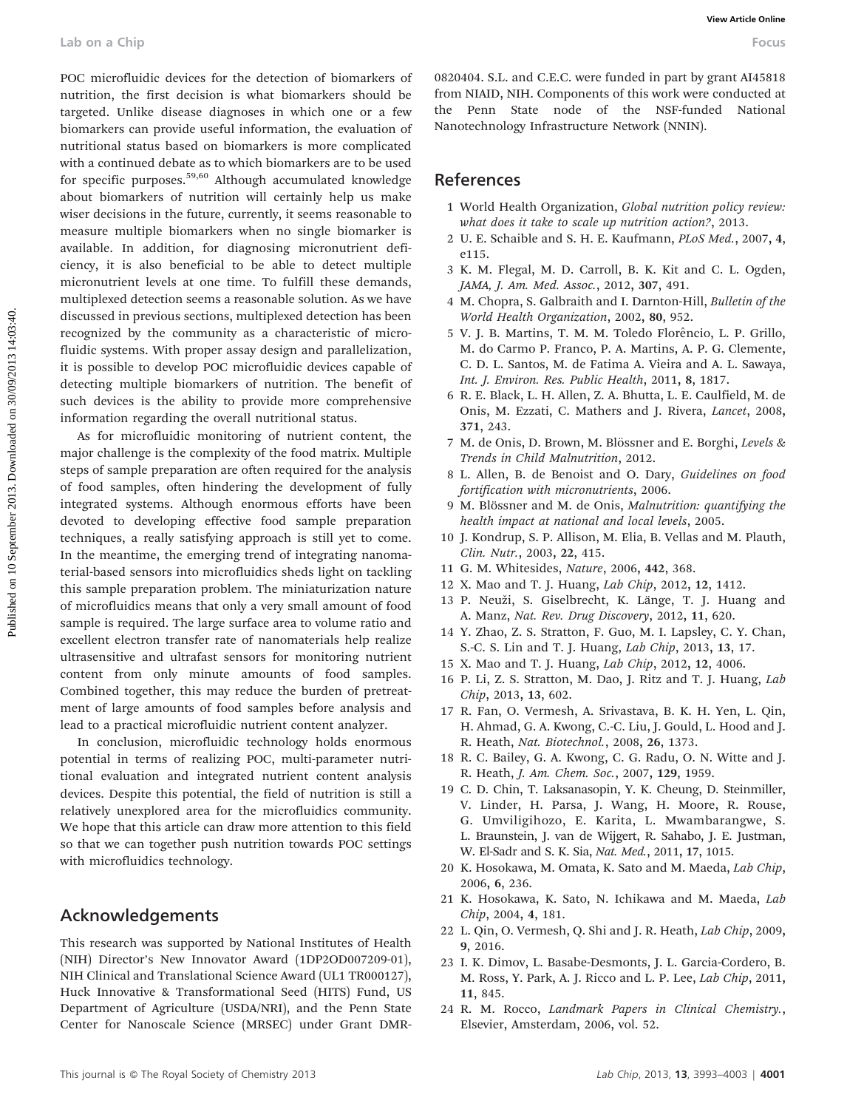POC microfluidic devices for the detection of biomarkers of nutrition, the first decision is what biomarkers should be targeted. Unlike disease diagnoses in which one or a few biomarkers can provide useful information, the evaluation of nutritional status based on biomarkers is more complicated with a continued debate as to which biomarkers are to be used for specific purposes.59,60 Although accumulated knowledge about biomarkers of nutrition will certainly help us make wiser decisions in the future, currently, it seems reasonable to measure multiple biomarkers when no single biomarker is available. In addition, for diagnosing micronutrient deficiency, it is also beneficial to be able to detect multiple micronutrient levels at one time. To fulfill these demands, multiplexed detection seems a reasonable solution. As we have discussed in previous sections, multiplexed detection has been recognized by the community as a characteristic of microfluidic systems. With proper assay design and parallelization, it is possible to develop POC microfluidic devices capable of detecting multiple biomarkers of nutrition. The benefit of such devices is the ability to provide more comprehensive information regarding the overall nutritional status. Lab on a Chip<br>
PUC microfulide devices for the detection of biomarkers of<br>
published on the National Southweat Southweat Southweat Southweat Southweat Constrained this constrained the formula southweat components in which

As for microfluidic monitoring of nutrient content, the major challenge is the complexity of the food matrix. Multiple steps of sample preparation are often required for the analysis of food samples, often hindering the development of fully integrated systems. Although enormous efforts have been devoted to developing effective food sample preparation techniques, a really satisfying approach is still yet to come. In the meantime, the emerging trend of integrating nanomaterial-based sensors into microfluidics sheds light on tackling this sample preparation problem. The miniaturization nature of microfluidics means that only a very small amount of food sample is required. The large surface area to volume ratio and excellent electron transfer rate of nanomaterials help realize ultrasensitive and ultrafast sensors for monitoring nutrient content from only minute amounts of food samples. Combined together, this may reduce the burden of pretreatment of large amounts of food samples before analysis and lead to a practical microfluidic nutrient content analyzer.

In conclusion, microfluidic technology holds enormous potential in terms of realizing POC, multi-parameter nutritional evaluation and integrated nutrient content analysis devices. Despite this potential, the field of nutrition is still a relatively unexplored area for the microfluidics community. We hope that this article can draw more attention to this field so that we can together push nutrition towards POC settings with microfluidics technology.

### Acknowledgements

This research was supported by National Institutes of Health (NIH) Director's New Innovator Award (1DP2OD007209-01), NIH Clinical and Translational Science Award (UL1 TR000127), Huck Innovative & Transformational Seed (HITS) Fund, US Department of Agriculture (USDA/NRI), and the Penn State Center for Nanoscale Science (MRSEC) under Grant DMR- 0820404. S.L. and C.E.C. were funded in part by grant AI45818 from NIAID, NIH. Components of this work were conducted at the Penn State node of the NSF-funded National Nanotechnology Infrastructure Network (NNIN).

### References

- 1 World Health Organization, Global nutrition policy review: what does it take to scale up nutrition action?, 2013.
- 2 U. E. Schaible and S. H. E. Kaufmann, PLoS Med., 2007, 4, e115.
- 3 K. M. Flegal, M. D. Carroll, B. K. Kit and C. L. Ogden, JAMA, J. Am. Med. Assoc., 2012, 307, 491.
- 4 M. Chopra, S. Galbraith and I. Darnton-Hill, Bulletin of the World Health Organization, 2002, 80, 952.
- 5 V. J. B. Martins, T. M. M. Toledo Florêncio, L. P. Grillo, M. do Carmo P. Franco, P. A. Martins, A. P. G. Clemente, C. D. L. Santos, M. de Fatima A. Vieira and A. L. Sawaya, Int. J. Environ. Res. Public Health, 2011, 8, 1817.
- 6 R. E. Black, L. H. Allen, Z. A. Bhutta, L. E. Caulfield, M. de Onis, M. Ezzati, C. Mathers and J. Rivera, Lancet, 2008, 371, 243.
- 7 M. de Onis, D. Brown, M. Blössner and E. Borghi, Levels & Trends in Child Malnutrition, 2012.
- 8 L. Allen, B. de Benoist and O. Dary, Guidelines on food fortification with micronutrients, 2006.
- 9 M. Blössner and M. de Onis, Malnutrition: quantifying the health impact at national and local levels, 2005.
- 10 J. Kondrup, S. P. Allison, M. Elia, B. Vellas and M. Plauth, Clin. Nutr., 2003, 22, 415.
- 11 G. M. Whitesides, Nature, 2006, 442, 368.
- 12 X. Mao and T. J. Huang, Lab Chip, 2012, 12, 1412.
- 13 P. Neuži, S. Giselbrecht, K. Länge, T. J. Huang and A. Manz, Nat. Rev. Drug Discovery, 2012, 11, 620.
- 14 Y. Zhao, Z. S. Stratton, F. Guo, M. I. Lapsley, C. Y. Chan, S.-C. S. Lin and T. J. Huang, Lab Chip, 2013, 13, 17.
- 15 X. Mao and T. J. Huang, Lab Chip, 2012, 12, 4006.
- 16 P. Li, Z. S. Stratton, M. Dao, J. Ritz and T. J. Huang, Lab Chip, 2013, 13, 602.
- 17 R. Fan, O. Vermesh, A. Srivastava, B. K. H. Yen, L. Qin, H. Ahmad, G. A. Kwong, C.-C. Liu, J. Gould, L. Hood and J. R. Heath, Nat. Biotechnol., 2008, 26, 1373.
- 18 R. C. Bailey, G. A. Kwong, C. G. Radu, O. N. Witte and J. R. Heath, J. Am. Chem. Soc., 2007, 129, 1959.
- 19 C. D. Chin, T. Laksanasopin, Y. K. Cheung, D. Steinmiller, V. Linder, H. Parsa, J. Wang, H. Moore, R. Rouse, G. Umviligihozo, E. Karita, L. Mwambarangwe, S. L. Braunstein, J. van de Wijgert, R. Sahabo, J. E. Justman, W. El-Sadr and S. K. Sia, Nat. Med., 2011, 17, 1015.
- 20 K. Hosokawa, M. Omata, K. Sato and M. Maeda, Lab Chip, 2006, 6, 236.
- 21 K. Hosokawa, K. Sato, N. Ichikawa and M. Maeda, Lab Chip, 2004, 4, 181.
- 22 L. Qin, O. Vermesh, Q. Shi and J. R. Heath, Lab Chip, 2009, 9, 2016.
- 23 I. K. Dimov, L. Basabe-Desmonts, J. L. Garcia-Cordero, B. M. Ross, Y. Park, A. J. Ricco and L. P. Lee, Lab Chip, 2011, 11, 845.
- 24 R. M. Rocco, Landmark Papers in Clinical Chemistry., Elsevier, Amsterdam, 2006, vol. 52.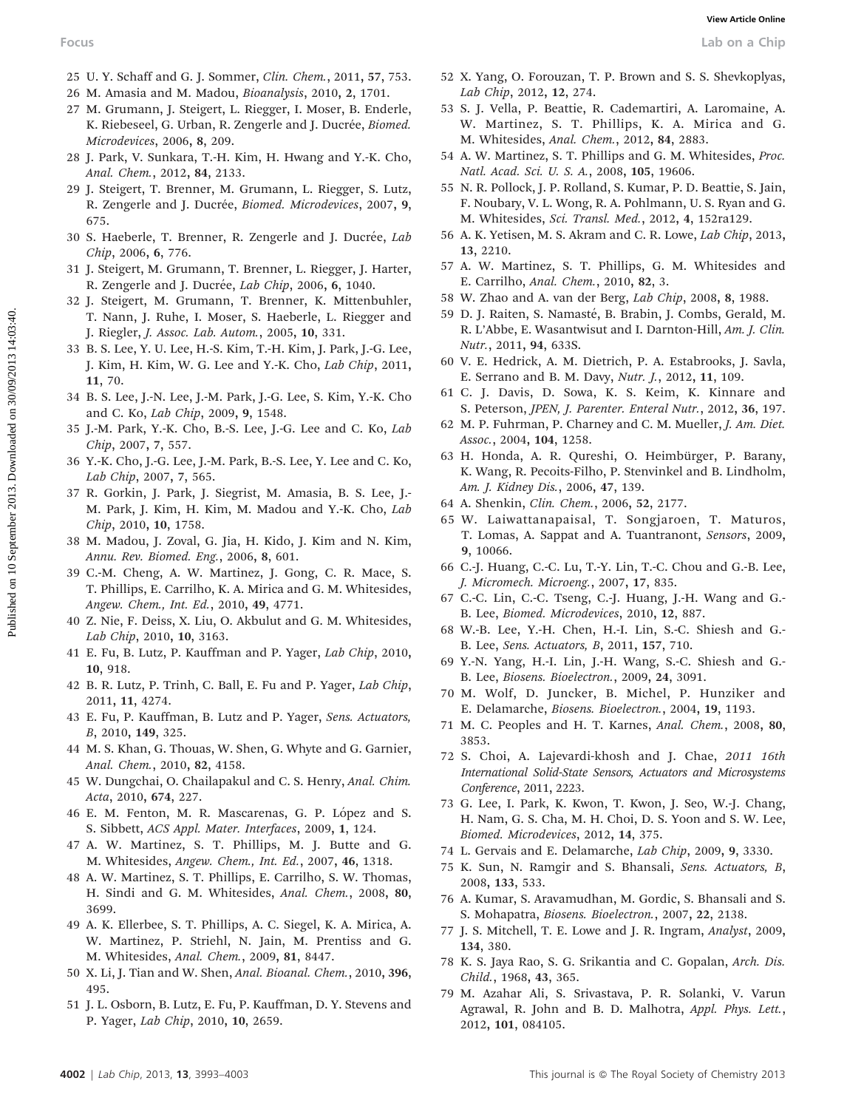- 25 U. Y. Schaff and G. J. Sommer, Clin. Chem., 2011, 57, 753.
- 26 M. Amasia and M. Madou, Bioanalysis, 2010, 2, 1701.
- 27 M. Grumann, J. Steigert, L. Riegger, I. Moser, B. Enderle, K. Riebeseel, G. Urban, R. Zengerle and J. Ducrée, Biomed. Microdevices, 2006, 8, 209.
- 28 J. Park, V. Sunkara, T.-H. Kim, H. Hwang and Y.-K. Cho, Anal. Chem., 2012, 84, 2133.
- 29 J. Steigert, T. Brenner, M. Grumann, L. Riegger, S. Lutz, R. Zengerle and J. Ducrée, Biomed. Microdevices, 2007, 9, 675.
- 30 S. Haeberle, T. Brenner, R. Zengerle and J. Ducrée, Lab Chip, 2006, 6, 776.
- 31 J. Steigert, M. Grumann, T. Brenner, L. Riegger, J. Harter, R. Zengerle and J. Ducrée, Lab Chip, 2006, 6, 1040.
- 32 J. Steigert, M. Grumann, T. Brenner, K. Mittenbuhler, T. Nann, J. Ruhe, I. Moser, S. Haeberle, L. Riegger and J. Riegler, J. Assoc. Lab. Autom., 2005, 10, 331.
- 33 B. S. Lee, Y. U. Lee, H.-S. Kim, T.-H. Kim, J. Park, J.-G. Lee, J. Kim, H. Kim, W. G. Lee and Y.-K. Cho, Lab Chip, 2011, 11, 70.
- 34 B. S. Lee, J.-N. Lee, J.-M. Park, J.-G. Lee, S. Kim, Y.-K. Cho and C. Ko, Lab Chip, 2009, 9, 1548.
- 35 J.-M. Park, Y.-K. Cho, B.-S. Lee, J.-G. Lee and C. Ko, Lab Chip, 2007, 7, 557.
- 36 Y.-K. Cho, J.-G. Lee, J.-M. Park, B.-S. Lee, Y. Lee and C. Ko, Lab Chip, 2007, 7, 565.
- 37 R. Gorkin, J. Park, J. Siegrist, M. Amasia, B. S. Lee, J.- M. Park, J. Kim, H. Kim, M. Madou and Y.-K. Cho, Lab Chip, 2010, 10, 1758.
- 38 M. Madou, J. Zoval, G. Jia, H. Kido, J. Kim and N. Kim, Annu. Rev. Biomed. Eng., 2006, 8, 601.
- 39 C.-M. Cheng, A. W. Martinez, J. Gong, C. R. Mace, S. T. Phillips, E. Carrilho, K. A. Mirica and G. M. Whitesides, Angew. Chem., Int. Ed., 2010, 49, 4771.
- 40 Z. Nie, F. Deiss, X. Liu, O. Akbulut and G. M. Whitesides, Lab Chip, 2010, 10, 3163.
- 41 E. Fu, B. Lutz, P. Kauffman and P. Yager, Lab Chip, 2010, 10, 918.
- 42 B. R. Lutz, P. Trinh, C. Ball, E. Fu and P. Yager, Lab Chip, 2011, 11, 4274.
- 43 E. Fu, P. Kauffman, B. Lutz and P. Yager, Sens. Actuators, B, 2010, 149, 325.
- 44 M. S. Khan, G. Thouas, W. Shen, G. Whyte and G. Garnier, Anal. Chem., 2010, 82, 4158.
- 45 W. Dungchai, O. Chailapakul and C. S. Henry, Anal. Chim. Acta, 2010, 674, 227.
- 46 E. M. Fenton, M. R. Mascarenas, G. P. López and S. S. Sibbett, ACS Appl. Mater. Interfaces, 2009, 1, 124.
- 47 A. W. Martinez, S. T. Phillips, M. J. Butte and G. M. Whitesides, Angew. Chem., Int. Ed., 2007, 46, 1318.
- 48 A. W. Martinez, S. T. Phillips, E. Carrilho, S. W. Thomas, H. Sindi and G. M. Whitesides, Anal. Chem., 2008, 80, 3699.
- 49 A. K. Ellerbee, S. T. Phillips, A. C. Siegel, K. A. Mirica, A. W. Martinez, P. Striehl, N. Jain, M. Prentiss and G. M. Whitesides, Anal. Chem., 2009, 81, 8447.
- 50 X. Li, J. Tian and W. Shen, Anal. Bioanal. Chem., 2010, 396, 495.
- 51 J. L. Osborn, B. Lutz, E. Fu, P. Kauffman, D. Y. Stevens and P. Yager, Lab Chip, 2010, 10, 2659.
- 52 X. Yang, O. Forouzan, T. P. Brown and S. S. Shevkoplyas, Lab Chip, 2012, 12, 274.
- 53 S. J. Vella, P. Beattie, R. Cademartiri, A. Laromaine, A. W. Martinez, S. T. Phillips, K. A. Mirica and G. M. Whitesides, Anal. Chem., 2012, 84, 2883. Pocus Worksham on M. Nontenber 2013. Downloade and L. Nontenber 2013. Non-<br>
2013. O. N. American mind N. Martin American Company, 2011, 2013. Downloaded on 2013. Downloaded on 30. S. S. S. C. C. C. C. C. C. C. C. C. C. C.
	- 54 A. W. Martinez, S. T. Phillips and G. M. Whitesides, Proc. Natl. Acad. Sci. U. S. A., 2008, 105, 19606.
	- 55 N. R. Pollock, J. P. Rolland, S. Kumar, P. D. Beattie, S. Jain, F. Noubary, V. L. Wong, R. A. Pohlmann, U. S. Ryan and G. M. Whitesides, Sci. Transl. Med., 2012, 4, 152ra129.
	- 56 A. K. Yetisen, M. S. Akram and C. R. Lowe, Lab Chip, 2013, 13, 2210.
	- 57 A. W. Martinez, S. T. Phillips, G. M. Whitesides and E. Carrilho, Anal. Chem., 2010, 82, 3.
	- 58 W. Zhao and A. van der Berg, Lab Chip, 2008, 8, 1988.
	- 59 D. J. Raiten, S. Namasté, B. Brabin, J. Combs, Gerald, M. R. L'Abbe, E. Wasantwisut and I. Darnton-Hill, Am. J. Clin. Nutr., 2011, 94, 633S.
	- 60 V. E. Hedrick, A. M. Dietrich, P. A. Estabrooks, J. Savla, E. Serrano and B. M. Davy, Nutr. J., 2012, 11, 109.
	- 61 C. J. Davis, D. Sowa, K. S. Keim, K. Kinnare and S. Peterson, JPEN, J. Parenter. Enteral Nutr., 2012, 36, 197.
	- 62 M. P. Fuhrman, P. Charney and C. M. Mueller, J. Am. Diet. Assoc., 2004, 104, 1258.
	- 63 H. Honda, A. R. Qureshi, O. Heimbürger, P. Barany, K. Wang, R. Pecoits-Filho, P. Stenvinkel and B. Lindholm, Am. J. Kidney Dis., 2006, 47, 139.
	- 64 A. Shenkin, Clin. Chem., 2006, 52, 2177.
	- 65 W. Laiwattanapaisal, T. Songjaroen, T. Maturos, T. Lomas, A. Sappat and A. Tuantranont, Sensors, 2009, 9, 10066.
	- 66 C.-J. Huang, C.-C. Lu, T.-Y. Lin, T.-C. Chou and G.-B. Lee, J. Micromech. Microeng., 2007, 17, 835.
	- 67 C.-C. Lin, C.-C. Tseng, C.-J. Huang, J.-H. Wang and G.- B. Lee, Biomed. Microdevices, 2010, 12, 887.
	- 68 W.-B. Lee, Y.-H. Chen, H.-I. Lin, S.-C. Shiesh and G.- B. Lee, Sens. Actuators, B, 2011, 157, 710.
	- 69 Y.-N. Yang, H.-I. Lin, J.-H. Wang, S.-C. Shiesh and G.- B. Lee, Biosens. Bioelectron., 2009, 24, 3091.
	- 70 M. Wolf, D. Juncker, B. Michel, P. Hunziker and E. Delamarche, Biosens. Bioelectron., 2004, 19, 1193.
	- 71 M. C. Peoples and H. T. Karnes, Anal. Chem., 2008, 80, 3853.
	- 72 S. Choi, A. Lajevardi-khosh and J. Chae, 2011 16th International Solid-State Sensors, Actuators and Microsystems Conference, 2011, 2223.
	- 73 G. Lee, I. Park, K. Kwon, T. Kwon, J. Seo, W.-J. Chang, H. Nam, G. S. Cha, M. H. Choi, D. S. Yoon and S. W. Lee, Biomed. Microdevices, 2012, 14, 375.
	- 74 L. Gervais and E. Delamarche, Lab Chip, 2009, 9, 3330.
	- 75 K. Sun, N. Ramgir and S. Bhansali, Sens. Actuators, B, 2008, 133, 533.
	- 76 A. Kumar, S. Aravamudhan, M. Gordic, S. Bhansali and S. S. Mohapatra, Biosens. Bioelectron., 2007, 22, 2138.
	- 77 J. S. Mitchell, T. E. Lowe and J. R. Ingram, Analyst, 2009, 134, 380.
	- 78 K. S. Jaya Rao, S. G. Srikantia and C. Gopalan, Arch. Dis. Child., 1968, 43, 365.
	- 79 M. Azahar Ali, S. Srivastava, P. R. Solanki, V. Varun Agrawal, R. John and B. D. Malhotra, Appl. Phys. Lett., 2012, 101, 084105.